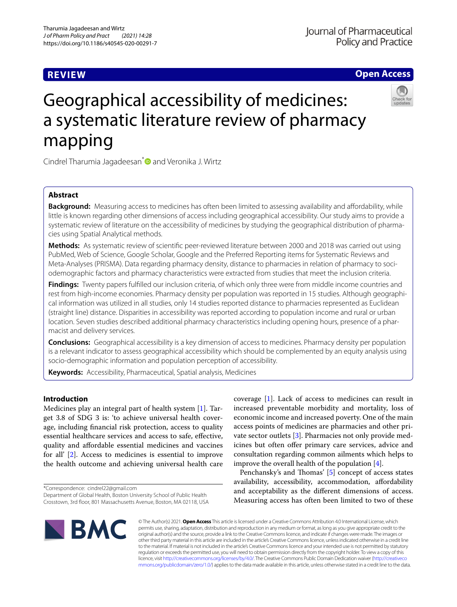# **REVIEW**

## **Open Access**



# Geographical accessibility of medicines: a systematic literature review of pharmacy mapping

Cindrel Tharumia Jagadeesan<sup>\*</sup> and Veronika J. Wirtz

## **Abstract**

**Background:** Measuring access to medicines has often been limited to assessing availability and affordability, while little is known regarding other dimensions of access including geographical accessibility. Our study aims to provide a systematic review of literature on the accessibility of medicines by studying the geographical distribution of pharmacies using Spatial Analytical methods.

**Methods:** As systematic review of scientifc peer-reviewed literature between 2000 and 2018 was carried out using PubMed, Web of Science, Google Scholar, Google and the Preferred Reporting items for Systematic Reviews and Meta-Analyses (PRISMA). Data regarding pharmacy density, distance to pharmacies in relation of pharmacy to sociodemographic factors and pharmacy characteristics were extracted from studies that meet the inclusion criteria.

**Findings:** Twenty papers fulflled our inclusion criteria, of which only three were from middle income countries and rest from high-income economies. Pharmacy density per population was reported in 15 studies. Although geographical information was utilized in all studies, only 14 studies reported distance to pharmacies represented as Euclidean (straight line) distance. Disparities in accessibility was reported according to population income and rural or urban location. Seven studies described additional pharmacy characteristics including opening hours, presence of a pharmacist and delivery services.

**Conclusions:** Geographical accessibility is a key dimension of access to medicines. Pharmacy density per population is a relevant indicator to assess geographical accessibility which should be complemented by an equity analysis using socio-demographic information and population perception of accessibility.

**Keywords:** Accessibility, Pharmaceutical, Spatial analysis, Medicines

## **Introduction**

Medicines play an integral part of health system [\[1](#page-12-0)]. Target 3.8 of SDG 3 is: 'to achieve universal health coverage, including fnancial risk protection, access to quality essential healthcare services and access to safe, efective, quality and afordable essential medicines and vaccines for all' [\[2\]](#page-12-1). Access to medicines is essential to improve the health outcome and achieving universal health care

\*Correspondence: cindrel22@gmail.com

coverage [[1\]](#page-12-0). Lack of access to medicines can result in increased preventable morbidity and mortality, loss of economic income and increased poverty. One of the main access points of medicines are pharmacies and other private sector outlets [[3\]](#page-12-2). Pharmacies not only provide medicines but often offer primary care services, advice and consultation regarding common ailments which helps to improve the overall health of the population [[4\]](#page-12-3).

Penchansky's and Thomas'  $[5]$  $[5]$  concept of access states availability, accessibility, accommodation, afordability and acceptability as the diferent dimensions of access. Measuring access has often been limited to two of these



© The Author(s) 2021. **Open Access** This article is licensed under a Creative Commons Attribution 4.0 International License, which permits use, sharing, adaptation, distribution and reproduction in any medium or format, as long as you give appropriate credit to the original author(s) and the source, provide a link to the Creative Commons licence, and indicate if changes were made. The images or other third party material in this article are included in the article's Creative Commons licence, unless indicated otherwise in a credit line to the material. If material is not included in the article's Creative Commons licence and your intended use is not permitted by statutory regulation or exceeds the permitted use, you will need to obtain permission directly from the copyright holder. To view a copy of this licence, visit [http://creativecommons.org/licenses/by/4.0/.](http://creativecommons.org/licenses/by/4.0/) The Creative Commons Public Domain Dedication waiver ([http://creativeco](http://creativecommons.org/publicdomain/zero/1.0/) [mmons.org/publicdomain/zero/1.0/](http://creativecommons.org/publicdomain/zero/1.0/)) applies to the data made available in this article, unless otherwise stated in a credit line to the data.

Department of Global Health, Boston University School of Public Health Crosstown, 3rd foor, 801 Massachusetts Avenue, Boston, MA 02118, USA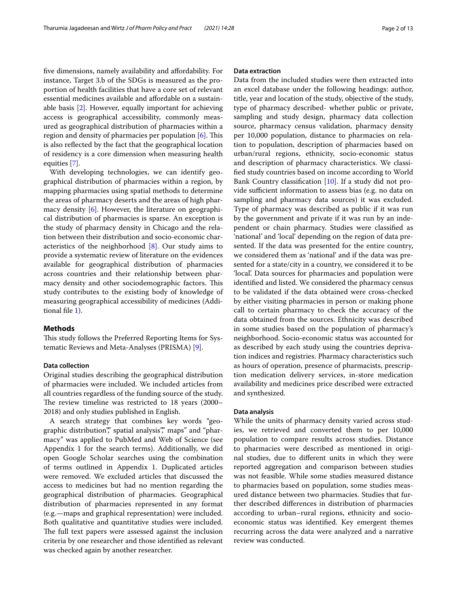fve dimensions, namely availability and afordability. For instance, Target 3.b of the SDGs is measured as the proportion of health facilities that have a core set of relevant essential medicines available and afordable on a sustainable basis [\[2](#page-12-1)]. However, equally important for achieving access is geographical accessibility, commonly measured as geographical distribution of pharmacies within a region and density of pharmacies per population  $[6]$  $[6]$ . This is also refected by the fact that the geographical location of residency is a core dimension when measuring health equities [\[7](#page-12-6)].

With developing technologies, we can identify geographical distribution of pharmacies within a region, by mapping pharmacies using spatial methods to determine the areas of pharmacy deserts and the areas of high pharmacy density [\[6](#page-12-5)]. However, the literature on geographical distribution of pharmacies is sparse. An exception is the study of pharmacy density in Chicago and the relation between their distribution and socio-economic characteristics of the neighborhood [[8\]](#page-12-7). Our study aims to provide a systematic review of literature on the evidences available for geographical distribution of pharmacies across countries and their relationship between pharmacy density and other sociodemographic factors. This study contributes to the existing body of knowledge of measuring geographical accessibility of medicines (Additional fle [1](#page-10-0)).

## **Methods**

This study follows the Preferred Reporting Items for Systematic Reviews and Meta-Analyses (PRISMA) [[9\]](#page-12-8).

#### **Data collection**

Original studies describing the geographical distribution of pharmacies were included. We included articles from all countries regardless of the funding source of the study. The review timeline was restricted to 18 years (2000– 2018) and only studies published in English.

A search strategy that combines key words "geographic distribution"," spatial analysis"," maps" and "pharmacy" was applied to PubMed and Web of Science (see Appendix 1 for the search terms). Additionally, we did open Google Scholar searches using the combination of terms outlined in Appendix 1. Duplicated articles were removed. We excluded articles that discussed the access to medicines but had no mention regarding the geographical distribution of pharmacies. Geographical distribution of pharmacies represented in any format (e.g.—maps and graphical representation) were included. Both qualitative and quantitative studies were included. The full text papers were assessed against the inclusion criteria by one researcher and those identifed as relevant was checked again by another researcher.

#### **Data extraction**

Data from the included studies were then extracted into an excel database under the following headings: author, title, year and location of the study, objective of the study, type of pharmacy described- whether public or private, sampling and study design, pharmacy data collection source, pharmacy census validation, pharmacy density per 10,000 population, distance to pharmacies on relation to population, description of pharmacies based on urban/rural regions, ethnicity, socio-economic status and description of pharmacy characteristics. We classifed study countries based on income according to World Bank Country classifcation [[10\]](#page-12-9). If a study did not provide sufficient information to assess bias (e.g. no data on sampling and pharmacy data sources) it was excluded. Type of pharmacy was described as public if it was run by the government and private if it was run by an independent or chain pharmacy. Studies were classifed as 'national' and 'local' depending on the region of data presented. If the data was presented for the entire country, we considered them as 'national' and if the data was presented for a state/city in a country, we considered it to be 'local'. Data sources for pharmacies and population were identifed and listed. We considered the pharmacy census to be validated if the data obtained were cross-checked by either visiting pharmacies in person or making phone call to certain pharmacy to check the accuracy of the data obtained from the sources. Ethnicity was described in some studies based on the population of pharmacy's neighborhood. Socio-economic status was accounted for as described by each study using the countries deprivation indices and registries. Pharmacy characteristics such as hours of operation, presence of pharmacists, prescription medication delivery services, in-store medication availability and medicines price described were extracted and synthesized.

#### **Data analysis**

While the units of pharmacy density varied across studies, we retrieved and converted them to per 10,000 population to compare results across studies. Distance to pharmacies were described as mentioned in original studies, due to diferent units in which they were reported aggregation and comparison between studies was not feasible. While some studies measured distance to pharmacies based on population, some studies measured distance between two pharmacies. Studies that further described diferences in distribution of pharmacies according to urban–rural regions, ethnicity and socioeconomic status was identifed. Key emergent themes recurring across the data were analyzed and a narrative review was conducted.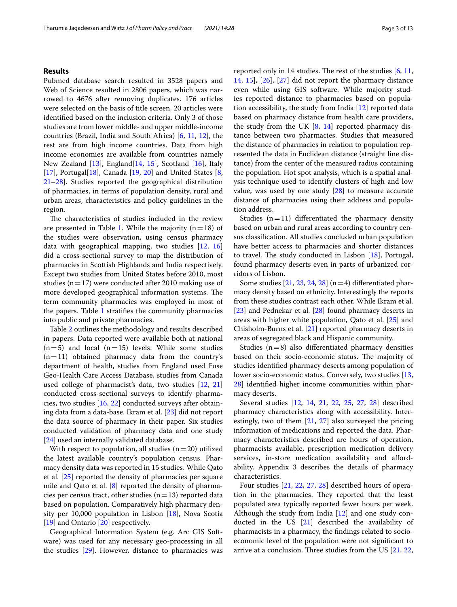## **Results**

Pubmed database search resulted in 3528 papers and Web of Science resulted in 2806 papers, which was narrowed to 4676 after removing duplicates. 176 articles were selected on the basis of title screen, 20 articles were identifed based on the inclusion criteria. Only 3 of those studies are from lower middle- and upper middle-income countries (Brazil, India and South Africa) [\[6](#page-12-5), [11](#page-12-10), [12](#page-12-11)], the rest are from high income countries. Data from high income economies are available from countries namely New Zealand [[13\]](#page-12-12), England[[14,](#page-12-13) [15\]](#page-12-14), Scotland [[16](#page-12-15)], Italy [[17\]](#page-12-16), Portugal<sup>[\[18\]](#page-12-17)</sup>, Canada  $[19, 20]$  $[19, 20]$  $[19, 20]$  $[19, 20]$  and United States  $[8, 8]$  $[8, 8]$ [21–](#page-12-20)[28](#page-12-21)]. Studies reported the geographical distribution of pharmacies, in terms of population density, rural and urban areas, characteristics and policy guidelines in the region.

The characteristics of studies included in the review are presented in Table [1.](#page-3-0) While the majority  $(n=18)$  of the studies were observation, using census pharmacy data with geographical mapping, two studies [\[12](#page-12-11), [16](#page-12-15)] did a cross-sectional survey to map the distribution of pharmacies in Scottish Highlands and India respectively. Except two studies from United States before 2010, most studies ( $n=17$ ) were conducted after 2010 making use of more developed geographical information systems. The term community pharmacies was employed in most of the papers. Table [1](#page-3-0) stratifes the community pharmacies into public and private pharmacies.

Table [2](#page-5-0) outlines the methodology and results described in papers. Data reported were available both at national  $(n=5)$  and local  $(n=15)$  levels. While some studies  $(n=11)$  obtained pharmacy data from the country's department of health, studies from England used Fuse Geo-Health Care Access Database, studies from Canada used college of pharmacist's data, two studies [\[12,](#page-12-11) [21](#page-12-20)] conducted cross-sectional surveys to identify pharmacies, two studies [[16](#page-12-15), [22](#page-12-22)] conducted surveys after obtaining data from a data-base. Ikram et al. [\[23](#page-12-23)] did not report the data source of pharmacy in their paper. Six studies conducted validation of pharmacy data and one study [[24\]](#page-12-24) used an internally validated database.

With respect to population, all studies  $(n=20)$  utilized the latest available country's population census. Pharmacy density data was reported in 15 studies. While Qato et al. [[25\]](#page-12-25) reported the density of pharmacies per square mile and Qato et al. [[8\]](#page-12-7) reported the density of pharmacies per census tract, other studies  $(n=13)$  reported data based on population. Comparatively high pharmacy density per 10,000 population in Lisbon [\[18\]](#page-12-17), Nova Scotia [[19\]](#page-12-18) and Ontario [[20\]](#page-12-19) respectively.

Geographical Information System (e.g. Arc GIS Software) was used for any necessary geo-processing in all the studies  $[29]$  $[29]$ . However, distance to pharmacies was reported only in 14 studies. The rest of the studies  $[6, 11, 11]$  $[6, 11, 11]$  $[6, 11, 11]$  $[6, 11, 11]$  $[6, 11, 11]$ [14,](#page-12-13) [15](#page-12-14)], [\[26](#page-12-27)], [\[27\]](#page-12-28) did not report the pharmacy distance even while using GIS software. While majority studies reported distance to pharmacies based on population accessibility, the study from India [\[12\]](#page-12-11) reported data based on pharmacy distance from health care providers, the study from the UK  $[8, 14]$  $[8, 14]$  $[8, 14]$  $[8, 14]$  reported pharmacy distance between two pharmacies. Studies that measured the distance of pharmacies in relation to population represented the data in Euclidean distance (straight line distance) from the center of the measured radius containing the population. Hot spot analysis, which is a spatial analysis technique used to identify clusters of high and low value, was used by one study [\[28](#page-12-21)] to measure accurate distance of pharmacies using their address and population address.

Studies  $(n=11)$  differentiated the pharmacy density based on urban and rural areas according to country census classifcation. All studies concluded urban population have better access to pharmacies and shorter distances to travel. The study conducted in Lisbon  $[18]$  $[18]$ , Portugal, found pharmacy deserts even in parts of urbanized corridors of Lisbon.

Some studies  $[21, 23, 24, 28]$  $[21, 23, 24, 28]$  $[21, 23, 24, 28]$  $[21, 23, 24, 28]$  $[21, 23, 24, 28]$  $[21, 23, 24, 28]$  $[21, 23, 24, 28]$  (n = 4) differentiated pharmacy density based on ethnicity. Interestingly the reports from these studies contrast each other. While Ikram et al. [[23\]](#page-12-23) and Pednekar et al. [[28](#page-12-21)] found pharmacy deserts in areas with higher white population, Qato et al. [\[25\]](#page-12-25) and Chisholm-Burns et al. [[21\]](#page-12-20) reported pharmacy deserts in areas of segregated black and Hispanic community.

Studies  $(n=8)$  also differentiated pharmacy densities based on their socio-economic status. The majority of studies identifed pharmacy deserts among population of lower socio-economic status. Conversely, two studies [[13](#page-12-12), [28\]](#page-12-21) identifed higher income communities within pharmacy deserts.

Several studies [[12,](#page-12-11) [14](#page-12-13), [21](#page-12-20), [22,](#page-12-22) [25](#page-12-25), [27,](#page-12-28) [28](#page-12-21)] described pharmacy characteristics along with accessibility. Interestingly, two of them [\[21](#page-12-20), [27\]](#page-12-28) also surveyed the pricing information of medications and reported the data. Pharmacy characteristics described are hours of operation, pharmacists available, prescription medication delivery services, in-store medication availability and afordability. Appendix 3 describes the details of pharmacy characteristics.

Four studies [[21,](#page-12-20) [22,](#page-12-22) [27,](#page-12-28) [28\]](#page-12-21) described hours of operation in the pharmacies. They reported that the least populated area typically reported fewer hours per week. Although the study from India [[12](#page-12-11)] and one study conducted in the US [\[21\]](#page-12-20) described the availability of pharmacists in a pharmacy, the fndings related to socioeconomic level of the population were not signifcant to arrive at a conclusion. Three studies from the US  $[21, 22, 1]$  $[21, 22, 1]$  $[21, 22, 1]$  $[21, 22, 1]$  $[21, 22, 1]$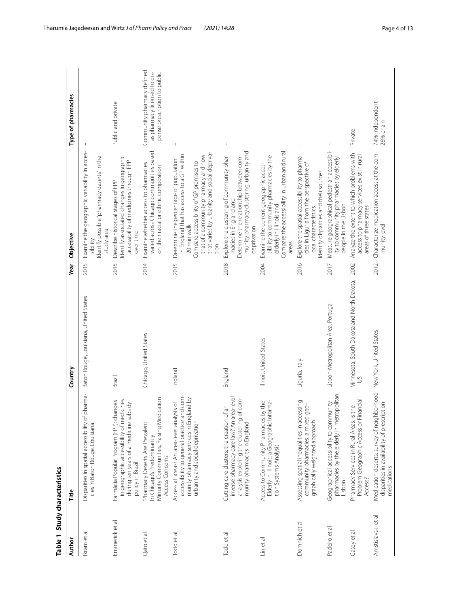| Table 1 Study characteristics |                                                                                                                                                                                |                                                             |                                          |                                                                                                                                                                                                                       |                                                                                            |
|-------------------------------|--------------------------------------------------------------------------------------------------------------------------------------------------------------------------------|-------------------------------------------------------------|------------------------------------------|-----------------------------------------------------------------------------------------------------------------------------------------------------------------------------------------------------------------------|--------------------------------------------------------------------------------------------|
| Author                        | Title                                                                                                                                                                          | Country                                                     | Objective<br>Year                        |                                                                                                                                                                                                                       | Type of pharmacies                                                                         |
| Ikram et al                   | Disparities in spatial accessibility of pharma-<br>cies in Baton Rouge, Louisiana                                                                                              | Baton Rouge, Louisiana, United States                       | study area<br>sibility<br>2015           | Examine the geographic variability in acces-<br>dentify possible "pharmacy deserts" in the                                                                                                                            |                                                                                            |
| Emmerick et al                | in geographic accessibility of medicines<br>Farmácia Popular Program (FPP): changes<br>during ten years of a medicine subsidy<br>policy in Brazil                              | Brazil                                                      | over time<br>2015                        | dentify associated changes in geographic<br>accessibility of medicines through FPP<br>Describe historical stages of FPP                                                                                               | Public and private                                                                         |
| Qato et al                    | Minority Communities, Raising Medication<br>Pharmacy Deserts' Are Prevalent<br>In Chicago's Predominantly<br>Access Concerns                                                   | Chicago, United States                                      | 2014                                     | varied across Chicago communities based<br>Examine whether access to pharmacies<br>on their racial or ethnic composition                                                                                              | Community pharmacy defined<br>as pharmacy licensed to dis-<br>pense prescription to public |
| Todd et al                    | com-<br>yq pu<br>Access all areas? An area-level analysis of<br>accessibility to general practice and<br>munity pharmacy services in Englan<br>urbanity and social deprivation | England                                                     | 20 min walk<br>tion<br>2015              | that varies by urbanity and social depriva-<br>in England that has access to a GP within<br>that of a community pharmacy and how<br>Determine the percentage of population<br>Compare accessibility of GP premises to |                                                                                            |
| Todd et al                    | inverse pharmacy care law? An area-level<br>com-<br>Cutting care clusters: the creation of an<br>analysis exploring the clustering of<br>munity pharmacies in England          | England                                                     | deprivation<br>2018                      | munity pharmacy clustering, urbanity and<br>Explore the clustering of community phar-<br>Determine the relationship between com-<br>macies in England and                                                             | $\,$ $\,$                                                                                  |
| Lin et al                     | Elderly in Illinois: a Geographic Informa-<br>the<br>Access to Community Pharmacies by<br>tion Systems Analysis                                                                | Illinois, United States                                     | elderly in Illinois and<br>areas<br>2004 | Compare the accessibility in urban and rural<br>sibility to community pharmacies by the<br>Examine the current geographic acces-                                                                                      | $\overline{\phantom{a}}$                                                                   |
| Domnich et al                 | Assessing spatial inequalities in accessing<br>community pharmacies: a mixed geo-<br>graphically weighted approach                                                             | Liguria, Italy                                              | local characteristics<br>2016            | Explore the spatial accessibility to pharma-<br>cies in Liguria from the perspective of<br>dentify disparities and their sources                                                                                      | $\overline{\phantom{a}}$                                                                   |
| Padeiro et al                 | pharmacies by the elderly in metropolitan<br>Geographical accessibility to community<br>Lisbon                                                                                 | Lisbon-Metropolitan Area, Portugal                          | people in the Lisbon<br>2017             | Measure geographical pedestrian accessibil-<br>ity to community pharmacies by elderly                                                                                                                                 | $\mathsf{L}$                                                                               |
| Casey et al                   | Problem Geographic Access or Financial<br>Pharmacy Services in Rural Areas: is the<br>Access?                                                                                  | Minnesota, South Dakota and North Dakota,<br>$\mathfrak{S}$ | areas of three states<br>2002            | Analyze the extent to which problems with<br>access to pharmacy services exist in rural                                                                                                                               | Private                                                                                    |
| Amstislavski et al            | Medication deserts: survey of neighborhood New York, United States<br>disparities in availability of prescription<br>medications                                               |                                                             | munity level<br>2012                     | Characterize medication access at the com-                                                                                                                                                                            | 74% Independent<br>26% chain                                                               |

<span id="page-3-0"></span>Table 1 Study characteristics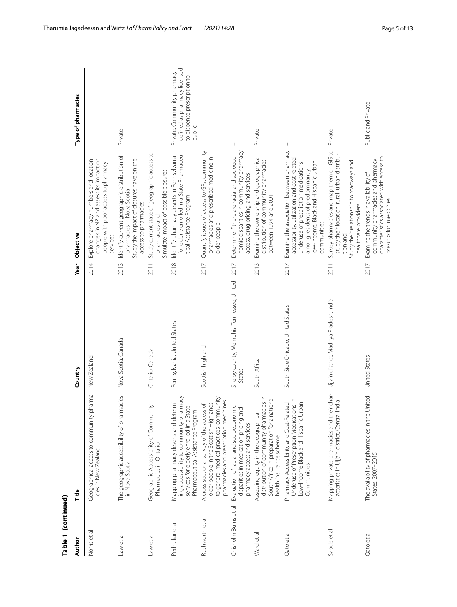| Table 1 (continued)  |                                                                                                                                                                                  |                                                     |      |                                                                                                                                                                                                                            |                                                                                                      |
|----------------------|----------------------------------------------------------------------------------------------------------------------------------------------------------------------------------|-----------------------------------------------------|------|----------------------------------------------------------------------------------------------------------------------------------------------------------------------------------------------------------------------------|------------------------------------------------------------------------------------------------------|
| Author               | Title                                                                                                                                                                            | Country                                             | Year | Objective                                                                                                                                                                                                                  | Type of pharmacies                                                                                   |
| Norris et al         | harma-<br>Geographical access to community p<br>cies in New Zealand                                                                                                              | New Zealand                                         | 2014 | changes in NZ and assess its impact on<br>Explore pharmacy numbers and location<br>people with poor access to pharmacy<br>services                                                                                         |                                                                                                      |
| Law et al            | The geographic accessibility of pharmacies<br>in Nova Scotia                                                                                                                     | Nova Scotia, Canada                                 | 2013 | Identify current geographic distribution of<br>Study the impact of closures have on the<br>pharmacies in Nova Scotia<br>access to pharmacies                                                                               | Private                                                                                              |
| Law et al            | Geographic Accessibility of Community<br>Pharmacies in Ontario                                                                                                                   | Ontario, Canada                                     | 2011 | Study current state of geographic access to<br>Simulate impact of possible closures<br>pharmacies and                                                                                                                      | $\overline{\phantom{a}}$                                                                             |
| Pednekar et al       | ing accessibility to community pharmacy<br>Mapping pharmacy deserts and determin-<br>$\sigma$<br>services for elderly enrolled in a Stat<br>Pharmaceutical Assistance Program    | Pennsylvania, United States                         | 2018 | for elderly enrolled in a State Pharmaceu-<br>Identify pharmacy deserts in Pennsylvania<br>tical Assistance Program                                                                                                        | defined as pharmacy licensed<br>Private, Community pharmacy<br>to dispense prescription to<br>public |
| Rushworth et al      | to general medical practices, community<br>pharmacies and prescription medicines<br>older people in the Scottish Highlands<br>$\sigma$<br>A cross-sectional survey of the access | Scottish highland                                   | 2017 | Quantify issues of access to GPs, community<br>pharmacies and prescribed medicine in<br>older people                                                                                                                       |                                                                                                      |
| Chisholm Burns et al | Evaluation of racial and socioeconomic<br>disparities in medication pricing and<br>pharmacy access and services                                                                  | Shelby county, Memphis, Tennessee, United<br>States | 2017 | nomic disparities in community pharmacy<br>Determine if there are racial and socioeco-<br>access, drug pricing, and services                                                                                               | $\overline{\phantom{a}}$                                                                             |
| Ward et al           | distribution of community pharmacies in<br>South Africa in preparation for a national<br>Assessing equity in the geographical<br>health insurance scheme                         | South Africa                                        | 2013 | Examine the ownership and geographical<br>distribution of community pharmacies<br>between 1994 and 2001                                                                                                                    | Private                                                                                              |
| Qato et al           | Underuse of Prescription Medications in<br>Low-Income Black and Hispanic Urban<br>Pharmacy Accessibility and Cost-Related<br>Communities                                         | South Side Chicago, United States                   | 2017 | Examine the association between pharmacy<br>accessibility, utilization and cost-related<br>low-income, Black and Hispanic urban<br>underuse of prescription medications<br>among residents of predominantly<br>communities |                                                                                                      |
| Sabde et al          | Mapping private pharmacies and their char-<br>ndia<br>acteristics in Ujjain district, Central                                                                                    | Ujjain district, Madhya Pradesh, India              | 2011 | Survey pharmacies and map them on GIS to<br>study their location, rural-urban distribu-<br>Study their relationship to roadways and<br>healthcare providers<br>tion and                                                    | Private                                                                                              |
| Qato et al           | The availability of pharmacies in the United<br>States: 2007-2015                                                                                                                | <b>United States</b>                                | 2017 | characteristics associated with access to<br>community pharmacies and pharmacy<br>Examine the trends in availability of<br>prescription medicines                                                                          | Public and Private                                                                                   |

Table 1 (continued)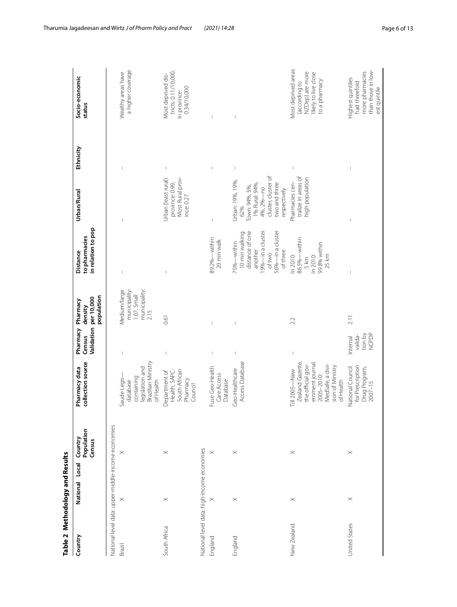<span id="page-5-0"></span>

| Table 2 Methodology and Results                    |                |                                 |                                                                                                                                              |                                                |                                                                       |                                                                                                                          |                                                                                                                                  |                                |                                                                                                  |
|----------------------------------------------------|----------------|---------------------------------|----------------------------------------------------------------------------------------------------------------------------------------------|------------------------------------------------|-----------------------------------------------------------------------|--------------------------------------------------------------------------------------------------------------------------|----------------------------------------------------------------------------------------------------------------------------------|--------------------------------|--------------------------------------------------------------------------------------------------|
| Country                                            | National Local | Population<br>Country<br>Census | collection source<br>Pharmacy data                                                                                                           | Pharmacy Pharmacy<br>Validation<br>Census      | population<br>per 10,000<br>density                                   | in relation to pop<br>to pharmacies<br><b>Distance</b>                                                                   | Urban/Rural                                                                                                                      | Ethnicity                      | Socio-economic<br>status                                                                         |
| National level data: upper-middle-income economies |                |                                 |                                                                                                                                              |                                                |                                                                       |                                                                                                                          |                                                                                                                                  |                                |                                                                                                  |
| Brazil                                             | $\times$       | $\times$                        | Brazilian Ministry<br>legislation and<br>containing<br>Saude Legis-<br>of Health<br>database                                                 | $\overline{\phantom{a}}$                       | municipality:<br>municipality:<br>Medium/large<br>1.07, Small<br>2.15 | $\overline{\phantom{a}}$                                                                                                 |                                                                                                                                  | $\overline{\phantom{a}}$       | a higher coverage<br>Wealthy areas have                                                          |
| South Africa                                       | $\times$       | $\times$                        | Health, SAPC-<br>South African<br>Department of<br>Pharmacy<br>Council                                                                       | $\overline{\phantom{a}}$                       | 0.61                                                                  |                                                                                                                          | Most Rural prov-<br>Urban (least rural)<br>province: 0.99,<br>ince: 0.27                                                         | $\begin{array}{c} \end{array}$ | tricts: 0.11/10,000,<br>Most deprived dis-<br>0.34/10,000<br>In province:                        |
| National level data: high-income economies         |                |                                 |                                                                                                                                              |                                                |                                                                       |                                                                                                                          |                                                                                                                                  |                                |                                                                                                  |
| England                                            | $\times$       | $\times$                        | Fuse Geo-Health<br>Care Access<br>Database                                                                                                   | $\mathbb T$                                    |                                                                       | 89.2%—within<br>20 min walk                                                                                              |                                                                                                                                  | $\overline{\phantom{a}}$       |                                                                                                  |
| England                                            | $\times$       | $\times$                        | Access Database<br>Geo-Healthcare                                                                                                            | I                                              |                                                                       | distance of one<br>19%-in a cluster<br>56%-in a cluster<br>10 min walking<br>75%-within<br>of three<br>another<br>of two | cluster, cluster of<br>Urban: 19%, 19%,<br>two and three<br>1% Rural: 94%,<br>Town: 94%, 5%,<br>4%, 2%-no<br>respectively<br>62% | $\begin{array}{c} \end{array}$ |                                                                                                  |
| New Zealand                                        | $\times$       | $\times$                        | Zealand Gazette,<br>ernment journal<br>MedSafe, a divi-<br>the official gov-<br>sion of Ministry<br>Till 2005-New<br>2005-2010:<br>of Health | $\overline{\phantom{a}}$                       | 2.2                                                                   | 86.5%-within<br>99.8% within<br>In 2010:<br>25 km<br>In 2010:<br>5 km                                                    | tralize in areas of<br>high population<br>Pharmacies cen-                                                                        | $\overline{\phantom{a}}$       | Most deprived areas<br>likely to live close<br>NZDep) are more<br>to a pharmacy<br>(according to |
| United States                                      | $\times$       | $\times$                        | for Prescription<br>National Council<br>Drug Program,<br>$2007 - 15$                                                                         | tion by<br><b>NCPDP</b><br>valida-<br>Internal | 2.11                                                                  |                                                                                                                          | $\overline{1}$                                                                                                                   |                                | than those in low-<br>more pharmacies<br>Highest quintiles<br>had threefold<br>est quintile      |

Tharumia Jagadeesan and Wirtz *J of Pharm Policy and Pract (2021) 14:28* Page 6 of 13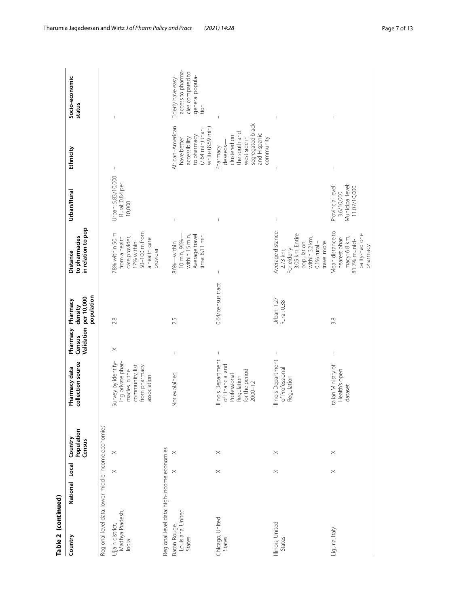| Table 2 (continued)                                |                |          |                                 |                                                                                                              |                                  |                                                 |                                                                                                                                       |                                                                     |                                                                                                                        |                                                                                       |
|----------------------------------------------------|----------------|----------|---------------------------------|--------------------------------------------------------------------------------------------------------------|----------------------------------|-------------------------------------------------|---------------------------------------------------------------------------------------------------------------------------------------|---------------------------------------------------------------------|------------------------------------------------------------------------------------------------------------------------|---------------------------------------------------------------------------------------|
| Country                                            | National Local |          | Population<br>Country<br>Census | collection source<br>Pharmacy data                                                                           | Validation<br>Pharmacy<br>Census | population<br>per 10,000<br>Pharmacy<br>density | in relation to pop<br>to pharmacies<br>Distance                                                                                       | Urban/Rural                                                         | Ethnicity                                                                                                              | Socio-economic<br>status                                                              |
| Regional level data: lower-middle-income economies |                |          |                                 |                                                                                                              |                                  |                                                 |                                                                                                                                       |                                                                     |                                                                                                                        |                                                                                       |
| Madhya Pradesh,<br>Ujjain district,<br>India       |                | $\times$ | $\times$                        | Survey by identify-<br>ing private phar-<br>community, list<br>from pharmacy<br>macies in the<br>association | $\times$                         | 2.8                                             | 50-100 m from<br>78% within 50 m<br>care provider,<br>from a health<br>a health care<br>17% within<br>provider                        | Urban: 5.83/10,000.<br>Rural: 0.84 per<br>10,000                    | $\mathsf I$                                                                                                            |                                                                                       |
| Regional level data: high-income economies         |                |          |                                 |                                                                                                              |                                  |                                                 |                                                                                                                                       |                                                                     |                                                                                                                        |                                                                                       |
| Louisiana, United<br>Baton Rouge,<br>States        |                | $\times$ | $\times$                        | Not explained                                                                                                |                                  | 2.5                                             | Average travel<br>time: 8.11 min<br>within 15 min,<br>10 min, 96%-<br>86%—within                                                      |                                                                     | African-American<br>white (8.59 min)<br>to pharmacy<br>(7.64 min) than<br>accessibility<br>have better                 | access to pharma-<br>cies compared to<br>general popula-<br>Elderly have easy<br>tion |
| Chicago, United<br>States                          |                | $\times$ | $\times$                        | Illinois Department<br>of Financial and<br>for the period<br>Professional<br>Regulation<br>$2000 - 12$       | $\mathsf I$                      | 0.64/census tract                               | $\overline{\phantom{a}}$                                                                                                              |                                                                     | segregated black<br>the south and<br>and Hispanic<br>clustered on<br>west side in<br>community<br>deseeds-<br>Pharmacy | $\mathfrak l$                                                                         |
| Illinois, United<br>States                         |                | $\times$ | $\times$                        | Illinois Department<br>of Professional<br>Regulation                                                         |                                  | Urban: 1.27<br>Rural: 0.38                      | Average distance:<br>3.05 km. Entire<br>within 32 km,<br>population:<br>travel more<br>$0.1%$ rural $-$<br>For elderly:<br>$2.73$ km, | $\begin{array}{c} \end{array}$                                      |                                                                                                                        | $\begin{array}{c} \end{array}$                                                        |
| Liguria, Italy                                     |                | $\times$ | $\times$                        | Italian Ministry of<br>Health's open<br>dataset                                                              | I                                | 3.8                                             | Mean distance to<br>pality-had one<br>macy: 6.8 km,<br>nearest phar-<br>81.7% munici-<br>pharmacy                                     | Municipal level:<br>Provincial level:<br>11.07/10,000<br>3.6/10,000 | J                                                                                                                      |                                                                                       |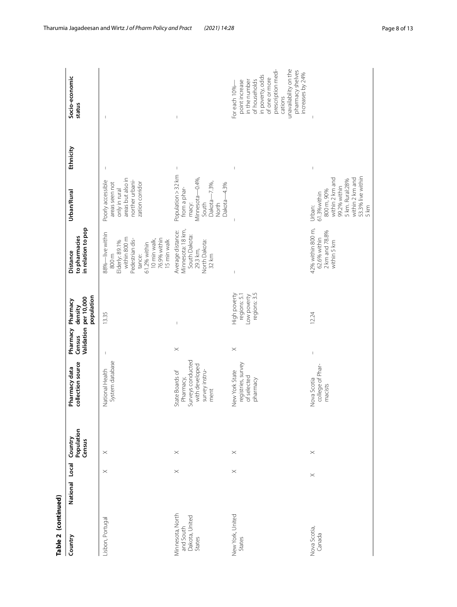| Table 2 (continued)                                       |                |                       |                                 |                                                                                               |                                  |                                                            |                                                                                                                                                        |                                                                                                                                           |                                                                                                                                                                                                                                                                                                                                                                                  |                                                                                                                                                                                                           |
|-----------------------------------------------------------|----------------|-----------------------|---------------------------------|-----------------------------------------------------------------------------------------------|----------------------------------|------------------------------------------------------------|--------------------------------------------------------------------------------------------------------------------------------------------------------|-------------------------------------------------------------------------------------------------------------------------------------------|----------------------------------------------------------------------------------------------------------------------------------------------------------------------------------------------------------------------------------------------------------------------------------------------------------------------------------------------------------------------------------|-----------------------------------------------------------------------------------------------------------------------------------------------------------------------------------------------------------|
| Country                                                   | National Local |                       | Population<br>Country<br>Census | collection source<br>Pharmacy data                                                            | Validation<br>Pharmacy<br>Census | population<br>per 10,000<br>Pharmacy<br>density            | in relation to pop<br>to pharmacies<br>Distance                                                                                                        | Urban/Rural                                                                                                                               | Ethnicity                                                                                                                                                                                                                                                                                                                                                                        | Socio-economic<br>status                                                                                                                                                                                  |
| Lisbon, Portugal                                          |                | $\boldsymbol{\times}$ | $\times$                        | System database<br>National Health                                                            |                                  | 13.35                                                      | 88%-live within<br>within 800 m<br>76.9% within<br>Pedestrian dis-<br>10 min walk,<br>15 min walk<br>Elderly: 89.1%<br>61.2% within<br>800 m<br>tance: | areas but also in<br>norther urbani-<br>Poorly accessible<br>zation corridor<br>areas seen not<br>only in rural                           |                                                                                                                                                                                                                                                                                                                                                                                  |                                                                                                                                                                                                           |
| Minnesota, North<br>Dakota, United<br>and South<br>States |                | $\times$              | $\times$                        | Surveys conducted<br>with developed<br>survey instru-<br>State Boards of<br>Pharmacy,<br>ment | $\times$                         | $\overline{1}$                                             | Minnesota: 18 km,<br>Average distance:<br>South Dakota:<br>North Dakota:<br>29.3 km,<br>32 km                                                          | Population > 32 km<br>Minnesota-0.4%,<br>$-7.3%$<br>$-4.3%$<br>from a phar-<br>Dakota-<br>Dakota-<br>South<br>macy:<br>North              | $\begin{array}{c} \rule{0pt}{2.5ex} \rule{0pt}{2.5ex} \rule{0pt}{2.5ex} \rule{0pt}{2.5ex} \rule{0pt}{2.5ex} \rule{0pt}{2.5ex} \rule{0pt}{2.5ex} \rule{0pt}{2.5ex} \rule{0pt}{2.5ex} \rule{0pt}{2.5ex} \rule{0pt}{2.5ex} \rule{0pt}{2.5ex} \rule{0pt}{2.5ex} \rule{0pt}{2.5ex} \rule{0pt}{2.5ex} \rule{0pt}{2.5ex} \rule{0pt}{2.5ex} \rule{0pt}{2.5ex} \rule{0pt}{2.5ex} \rule{0$ |                                                                                                                                                                                                           |
| New York, United<br>States                                |                | $\times$              | $\times$                        | registries, survey<br>New York State<br>of selected<br>pharmacy                               | $\times$                         | regions: 3.5<br>High poverty<br>Low poverty<br>regions: 5. | I                                                                                                                                                      |                                                                                                                                           | I                                                                                                                                                                                                                                                                                                                                                                                | prescription medi-<br>unavailability on the<br>pharmacy shelves<br>increases by 24%<br>in poverty, odds<br>of one or more<br>in the number<br>of households<br>point increase<br>For each 10%-<br>cations |
| Nova Scotia,<br>Canada                                    |                | $\times$              | $\times$                        | college of Phar-<br>Nova Scotia<br>macists                                                    | I                                | 12.24                                                      | 42% within 800 m,<br>2 km and 78.8%<br>62.6% within<br>within 5 km                                                                                     | 53.3% live within<br>within 2 km and<br>within 2 km and<br>5 km. Rural:28%<br>99.2% within<br>800 m, 90%<br>61.3%within<br>Urban:<br>5 km | $\begin{array}{c} \end{array}$                                                                                                                                                                                                                                                                                                                                                   |                                                                                                                                                                                                           |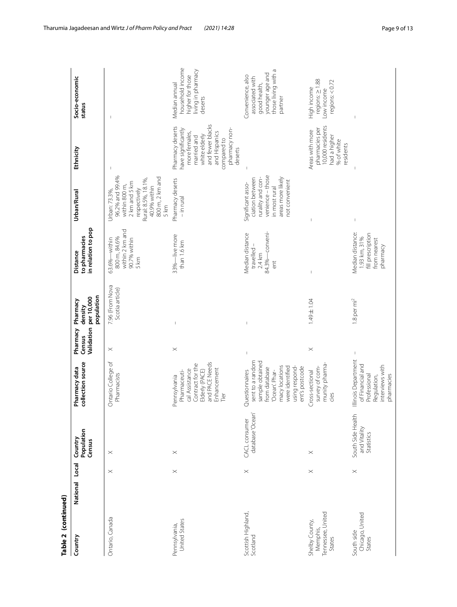| Table 2 (continued)                                       |          |                       |                                                 |                                                                                                                                                                  |                                  |                                                 |                                                                                   |                                                                                                                                                      |                                                                                                                                                                         |                                                                                                           |
|-----------------------------------------------------------|----------|-----------------------|-------------------------------------------------|------------------------------------------------------------------------------------------------------------------------------------------------------------------|----------------------------------|-------------------------------------------------|-----------------------------------------------------------------------------------|------------------------------------------------------------------------------------------------------------------------------------------------------|-------------------------------------------------------------------------------------------------------------------------------------------------------------------------|-----------------------------------------------------------------------------------------------------------|
| Country                                                   | National | Local                 | Population<br>Country<br>Census                 | collection source<br>Pharmacy data                                                                                                                               | Validation<br>Pharmacy<br>Census | population<br>per 10,000<br>Pharmacy<br>density | in relation to pop<br>to pharmacies<br>Distance                                   | Urban/Rural                                                                                                                                          | Ethnicity                                                                                                                                                               | Socio-economic<br>status                                                                                  |
| Ontario, Canada                                           |          | $\times$              | $\times$                                        | Ontario College of<br>Pharmacists                                                                                                                                | $\times$                         | 7.96 (From Nova<br>Scotia article)              | within 2 km and<br>800 m, 84.6%<br>90.7% within<br>63.6%—within<br>5 km           | 96.2% and 99.4%<br>800 m, 2 km and<br>respectively<br>Rural: 8.5%, 18.1%,<br>2 km and 5 km<br>within 800 m,<br>40.9% within<br>Urban: 73.3%,<br>5 km |                                                                                                                                                                         | $\overline{1}$                                                                                            |
| United States<br>Pennsylvania,                            |          | $\boldsymbol{\times}$ | $\times$                                        | and PACE Needs<br>Contract for the<br>Enhancement<br>cal Assistance<br>Elderly (PACE)<br>Pharmaceuti-<br>Pennsylvania<br>Tier                                    | $\times$                         |                                                 | 33%-live more<br>than 1.6 km                                                      | Pharmacy deserts<br>$-$ in rural                                                                                                                     | and fewer blacks<br>Pharmacy deserts<br>pharmacy non-<br>have significantly<br>and Hispanics<br>more females,<br>white elderly<br>married and<br>compared to<br>deserts | household income<br>living in pharmacy<br>higher for those<br>Median annual<br>deserts                    |
| Scottish Highland,<br>Scotland                            |          | $\times$              | database 'Ocean'<br>CACL consumer               | sent to a random<br>sample obtained<br>macy locations<br>using respond-<br>were identified<br>from database<br>ent's postcode<br>Questionnaires<br>Ocean'. Phar- |                                  |                                                 | 84.3%-conveni-<br>Median distance<br>travelled -<br>2.4 km<br>ent                 | venience - those<br>areas more likely<br>ciation between<br>rurality and con-<br>not convenient<br>Significant asso-<br>in most rural                |                                                                                                                                                                         | those living with a<br>younger age and<br>Convenience, also<br>associated with<br>good health,<br>partner |
| Tennessee, United<br>Shelby County,<br>Memphis,<br>States |          | $\times$              | $\times$                                        | munity pharma-<br>survey of com-<br>Cross-sectional<br>cies                                                                                                      | $\times$                         | $1.49 \pm 1.04$                                 |                                                                                   |                                                                                                                                                      | 10,000 residents<br>pharmacies per<br>Areas with more<br>had a higher<br>% of white<br>residents                                                                        | regions: $\geq 1.88$<br>regions: < 0.72<br>High income<br>Low income                                      |
| Chicago, United<br>South side<br>States                   |          | $\times$              | South Side Health<br>and Vitality<br>Statistics | Illinois Department<br>of Financial and<br>interviews with<br>pharmacies<br>Professional<br>Regulation,                                                          |                                  | 1.8 per mi <sup>2</sup>                         | Median distance:<br>fill prescription<br>1.93 km, 31%<br>from nearest<br>pharmacy |                                                                                                                                                      |                                                                                                                                                                         |                                                                                                           |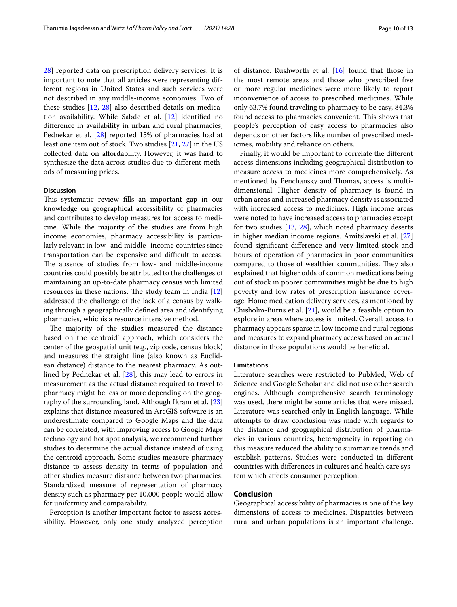[28\]](#page-12-21) reported data on prescription delivery services. It is important to note that all articles were representing different regions in United States and such services were not described in any middle-income economies. Two of these studies [\[12,](#page-12-11) [28\]](#page-12-21) also described details on medication availability. While Sabde et al. [\[12\]](#page-12-11) identifed no diference in availability in urban and rural pharmacies, Pednekar et al. [[28\]](#page-12-21) reported 15% of pharmacies had at least one item out of stock. Two studies [[21,](#page-12-20) [27](#page-12-28)] in the US collected data on afordability. However, it was hard to synthesize the data across studies due to diferent methods of measuring prices.

#### **Discussion**

This systematic review fills an important gap in our knowledge on geographical accessibility of pharmacies and contributes to develop measures for access to medicine. While the majority of the studies are from high income economies, pharmacy accessibility is particularly relevant in low- and middle- income countries since transportation can be expensive and difficult to access. The absence of studies from low- and middle-income countries could possibly be attributed to the challenges of maintaining an up-to-date pharmacy census with limited resources in these nations. The study team in India  $[12]$  $[12]$  $[12]$ addressed the challenge of the lack of a census by walking through a geographically defned area and identifying pharmacies, whichis a resource intensive method.

The majority of the studies measured the distance based on the 'centroid' approach, which considers the center of the geospatial unit (e.g., zip code, census block) and measures the straight line (also known as Euclidean distance) distance to the nearest pharmacy. As outlined by Pednekar et al. [\[28](#page-12-21)], this may lead to errors in measurement as the actual distance required to travel to pharmacy might be less or more depending on the geography of the surrounding land. Although Ikram et al. [[23](#page-12-23)] explains that distance measured in ArcGIS software is an underestimate compared to Google Maps and the data can be correlated, with improving access to Google Maps technology and hot spot analysis, we recommend further studies to determine the actual distance instead of using the centroid approach. Some studies measure pharmacy distance to assess density in terms of population and other studies measure distance between two pharmacies. Standardized measure of representation of pharmacy density such as pharmacy per 10,000 people would allow for uniformity and comparability.

Perception is another important factor to assess accessibility. However, only one study analyzed perception of distance. Rushworth et al. [[16\]](#page-12-15) found that those in the most remote areas and those who prescribed fve or more regular medicines were more likely to report inconvenience of access to prescribed medicines. While only 63.7% found traveling to pharmacy to be easy, 84.3% found access to pharmacies convenient. This shows that people's perception of easy access to pharmacies also depends on other factors like number of prescribed medicines, mobility and reliance on others.

Finally, it would be important to correlate the diferent access dimensions including geographical distribution to measure access to medicines more comprehensively. As mentioned by Penchansky and Thomas, access is multidimensional. Higher density of pharmacy is found in urban areas and increased pharmacy density is associated with increased access to medicines. High income areas were noted to have increased access to pharmacies except for two studies [[13](#page-12-12), [28](#page-12-21)], which noted pharmacy deserts in higher median income regions. Amitslavski et al. [[27](#page-12-28)] found signifcant diference and very limited stock and hours of operation of pharmacies in poor communities compared to those of wealthier communities. They also explained that higher odds of common medications being out of stock in poorer communities might be due to high poverty and low rates of prescription insurance coverage. Home medication delivery services, as mentioned by Chisholm-Burns et al. [\[21](#page-12-20)], would be a feasible option to explore in areas where access is limited. Overall, access to pharmacy appears sparse in low income and rural regions and measures to expand pharmacy access based on actual distance in those populations would be benefcial.

## **Limitations**

Literature searches were restricted to PubMed, Web of Science and Google Scholar and did not use other search engines. Although comprehensive search terminology was used, there might be some articles that were missed. Literature was searched only in English language. While attempts to draw conclusion was made with regards to the distance and geographical distribution of pharmacies in various countries, heterogeneity in reporting on this measure reduced the ability to summarize trends and establish patterns. Studies were conducted in diferent countries with diferences in cultures and health care system which afects consumer perception.

## **Conclusion**

Geographical accessibility of pharmacies is one of the key dimensions of access to medicines. Disparities between rural and urban populations is an important challenge.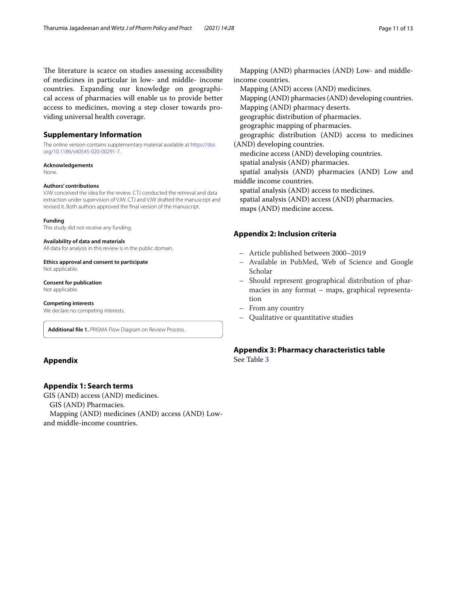The literature is scarce on studies assessing accessibility of medicines in particular in low- and middle- income countries. Expanding our knowledge on geographical access of pharmacies will enable us to provide better access to medicines, moving a step closer towards providing universal health coverage.

#### **Supplementary Information**

The online version contains supplementary material available at [https://doi.](https://doi.org/10.1186/s40545-020-00291-7) [org/10.1186/s40545-020-00291-7](https://doi.org/10.1186/s40545-020-00291-7).

#### **Acknowledgements**

None.

#### **Authors' contributions**

VJW conceived the idea for the review. CTJ conducted the retrieval and data extraction under supervision of VJW. CTJ and VJW drafted the manuscript and revised it. Both authors approved the fnal version of the manuscript.

#### **Funding**

This study did not receive any funding.

#### **Availability of data and materials**

All data for analysis in this review is in the public domain.

**Ethics approval and consent to participate** Not applicable.

#### **Consent for publication**

Not applicable.

#### **Competing interests**

We declare no competing interests.

<span id="page-10-0"></span>**Additional fle 1.** PRISMA Flow Diagram on Review Process.

## **Appendix**

## **Appendix 1: Search terms**

GIS (AND) access (AND) medicines. GIS (AND) Pharmacies. Mapping (AND) medicines (AND) access (AND) Lowand middle-income countries.

Mapping (AND) pharmacies (AND) Low- and middleincome countries.

Mapping (AND) access (AND) medicines.

Mapping (AND) pharmacies (AND) developing countries. Mapping (AND) pharmacy deserts.

geographic distribution of pharmacies.

geographic mapping of pharmacies.

geographic distribution (AND) access to medicines (AND) developing countries.

medicine access (AND) developing countries.

spatial analysis (AND) pharmacies.

spatial analysis (AND) pharmacies (AND) Low and middle income countries.

spatial analysis (AND) access to medicines.

spatial analysis (AND) access (AND) pharmacies. maps (AND) medicine access.

## **Appendix 2: Inclusion criteria**

- Article published between 2000–2019
- Available in PubMed, Web of Science and Google Scholar
- Should represent geographical distribution of pharmacies in any format – maps, graphical representation
- From any country
- Qualitative or quantitative studies

# **Appendix 3: Pharmacy characteristics table**

See Table [3](#page-11-0)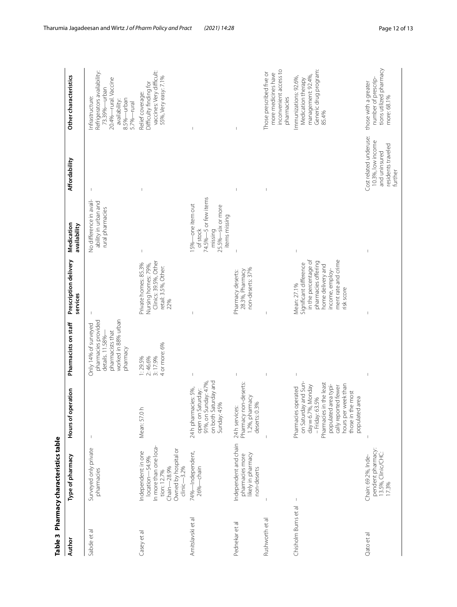|                      | Table 3 Pharmacy characteristics table                                                                                                       |                                                                                                                                                                                                                                        |                                                                                                                        |                                                                                                                                                                   |                                                                                                       |                                                                                               |                                                                                                                                         |
|----------------------|----------------------------------------------------------------------------------------------------------------------------------------------|----------------------------------------------------------------------------------------------------------------------------------------------------------------------------------------------------------------------------------------|------------------------------------------------------------------------------------------------------------------------|-------------------------------------------------------------------------------------------------------------------------------------------------------------------|-------------------------------------------------------------------------------------------------------|-----------------------------------------------------------------------------------------------|-----------------------------------------------------------------------------------------------------------------------------------------|
| Author               | Type of pharmacy                                                                                                                             | Hours of operation                                                                                                                                                                                                                     | Pharmacists on staff                                                                                                   | Prescription delivery<br>services                                                                                                                                 | Medication<br>availability                                                                            | Affordability                                                                                 | Other characteristics                                                                                                                   |
| Sabde et al          | Surveyed only private<br>pharmacies                                                                                                          |                                                                                                                                                                                                                                        | worked in 88% urban<br>pharmacies provided<br>Only 14% of surveyed<br>pharmacists that<br>details. 11.58%-<br>pharmacy |                                                                                                                                                                   | No difference in avail-<br>ability in urban and<br>rural pharmacies                                   |                                                                                               | Refrigerators availability:<br>20.4%-rural. Vaccine<br>73.39%-urban<br>Infrastructure:<br>8.5%-urban<br>availability:<br>$5.7% - rural$ |
| Casey et al          | In more than one loca-<br>Owned by hospital or<br>Independent: in one<br>location-54.9%<br>Chain-28.9%<br>$-3.2%$<br>tion: 12.7%<br>$dimic-$ | Mean: 57.0h                                                                                                                                                                                                                            | 4 or more: 6%<br>1:29.5%<br>2:46.6%<br>3:17.9%                                                                         | Clinics: 39.5%, Other<br>Private homes: 85.3%<br>Nursing homes: 79%,<br>retail: 3.5%, Other:<br>22%                                                               | $\overline{1}$                                                                                        |                                                                                               | vaccines: Very difficult:<br>55%, Very easy: 7.1%<br>Difficulty finding for<br>Relief coverage:                                         |
| Amitslavski et al    | 74%-Independent,<br>26%-chain                                                                                                                | on both Saturday and<br>91%, on Sunday: 47%,<br>24 h pharmacies: 5%,<br>open on Saturday:<br>Sunday: 45%                                                                                                                               |                                                                                                                        |                                                                                                                                                                   | 74.5%-5 or few items<br>15%—one item out<br>25.5%-six or more<br>items missing<br>of stock<br>missing |                                                                                               |                                                                                                                                         |
| Pednekar et al       | Independent and chain<br>likely in pharmacy<br>pharmacies more<br>non-deserts                                                                | Pharmacy non-deserts:<br>1.2%, pharmacy<br>deserts: 0.3%<br>24 h services:                                                                                                                                                             |                                                                                                                        | non-deserts: 37%<br>28.3%, Pharmacy<br>Pharmacy deserts:                                                                                                          |                                                                                                       |                                                                                               |                                                                                                                                         |
| Rushworth et al      |                                                                                                                                              |                                                                                                                                                                                                                                        |                                                                                                                        |                                                                                                                                                                   |                                                                                                       |                                                                                               | inconvenient access to<br>Those prescribed five or<br>more medicines have<br>pharmacies                                                 |
| Chisholm Burns et al | $\mathsf I$                                                                                                                                  | on Saturday and Sun-<br>Pharmacies in the least<br>hours per week than<br>, Monday<br>populated area typi-<br>cally reported fewer<br>Pharmacies operated<br>those in the most<br>area<br>- Friday: 63.5%<br>$day = 6.7%$<br>populated |                                                                                                                        | in the percentage of<br>ment rate and crime<br>pharmacies offering<br>Significant difference<br>home delivery and<br>income, employ-<br>Mean: 27.1%<br>risk score | $\overline{1}$                                                                                        |                                                                                               | Generic drug program:<br>management: 92.4%,<br>Immunizations: 92.6%,<br>Medication therapy<br>85.4%                                     |
| Qato et al           | pendent pharmacy:<br>13.5%, Clinic/CHC:<br>17.3%<br>Chain: 69.2%, Inde-                                                                      |                                                                                                                                                                                                                                        |                                                                                                                        |                                                                                                                                                                   | $\mathsf I$                                                                                           | Cost related underuse:<br>10.3%, low income<br>residents traveled<br>and uninsured<br>further | tions utilized pharmacy<br>number of prescrip-<br>those with a greater<br>more: 68.1%                                                   |

<span id="page-11-0"></span>Table 3 Pharmacy characteristics table